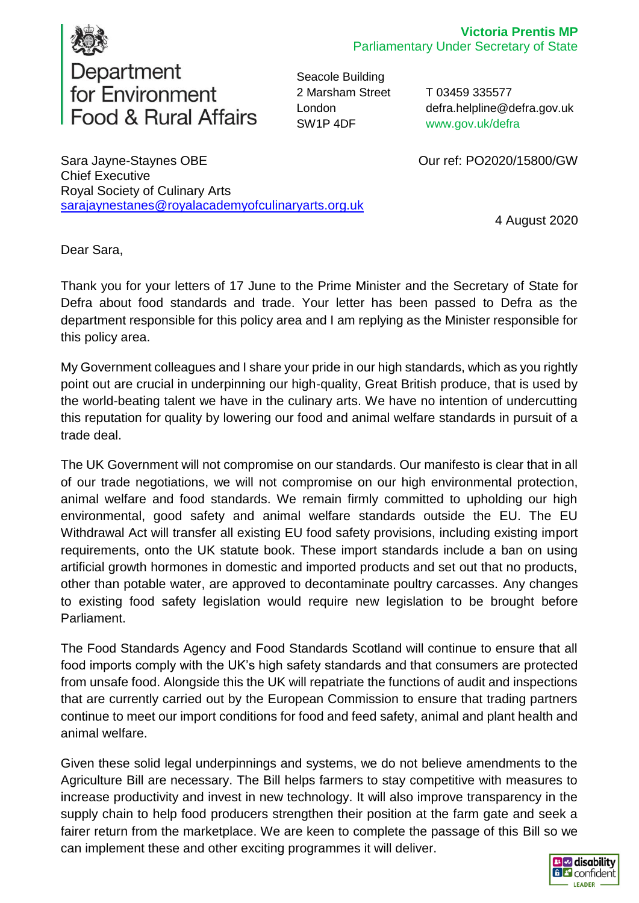

Seacole Building 2 Marsham Street London SW1P 4DF

T 03459 335577 defra.helpline@defra.gov.uk www.gov.uk/defra

Our ref: PO2020/15800/GW

Sara Jayne-Staynes OBE Chief Executive Royal Society of Culinary Arts [sarajaynestanes@royalacademyofculinaryarts.org.uk](mailto:sarajaynestanes@royalacademyofculinaryarts.org.uk)

4 August 2020

Dear Sara,

Thank you for your letters of 17 June to the Prime Minister and the Secretary of State for Defra about food standards and trade. Your letter has been passed to Defra as the department responsible for this policy area and I am replying as the Minister responsible for this policy area.

My Government colleagues and I share your pride in our high standards, which as you rightly point out are crucial in underpinning our high-quality, Great British produce, that is used by the world-beating talent we have in the culinary arts. We have no intention of undercutting this reputation for quality by lowering our food and animal welfare standards in pursuit of a trade deal.

The UK Government will not compromise on our standards. Our manifesto is clear that in all of our trade negotiations, we will not compromise on our high environmental protection, animal welfare and food standards. We remain firmly committed to upholding our high environmental, good safety and animal welfare standards outside the EU. The EU Withdrawal Act will transfer all existing EU food safety provisions, including existing import requirements, onto the UK statute book. These import standards include a ban on using artificial growth hormones in domestic and imported products and set out that no products, other than potable water, are approved to decontaminate poultry carcasses. Any changes to existing food safety legislation would require new legislation to be brought before Parliament.

The Food Standards Agency and Food Standards Scotland will continue to ensure that all food imports comply with the UK's high safety standards and that consumers are protected from unsafe food. Alongside this the UK will repatriate the functions of audit and inspections that are currently carried out by the European Commission to ensure that trading partners continue to meet our import conditions for food and feed safety, animal and plant health and animal welfare.

Given these solid legal underpinnings and systems, we do not believe amendments to the Agriculture Bill are necessary. The Bill helps farmers to stay competitive with measures to increase productivity and invest in new technology. It will also improve transparency in the supply chain to help food producers strengthen their position at the farm gate and seek a fairer return from the marketplace. We are keen to complete the passage of this Bill so we can implement these and other exciting programmes it will deliver.